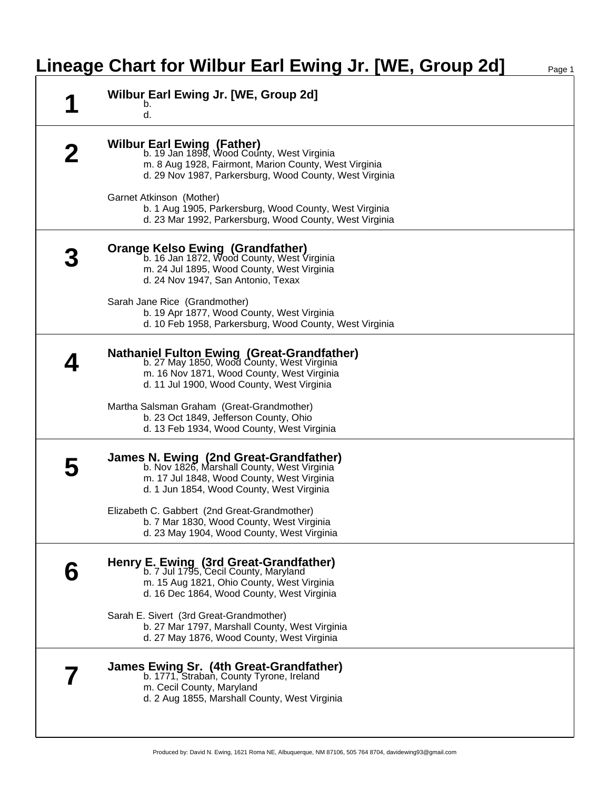# **Lineage Chart for Wilbur Earl Ewing Jr. [WE, Group 2d]** Page 1

| Wilbur Earl Ewing Jr. [WE, Group 2d]<br>b.<br>d.                                                                                                                                                                                                                                                                                              |
|-----------------------------------------------------------------------------------------------------------------------------------------------------------------------------------------------------------------------------------------------------------------------------------------------------------------------------------------------|
| Wilbur Earl Ewing (Father)<br>b. 19 Jan 1898, Wood County, West Virginia<br>m. 8 Aug 1928, Fairmont, Marion County, West Virginia<br>d. 29 Nov 1987, Parkersburg, Wood County, West Virginia<br>Garnet Atkinson (Mother)<br>b. 1 Aug 1905, Parkersburg, Wood County, West Virginia<br>d. 23 Mar 1992, Parkersburg, Wood County, West Virginia |
| <b>Orange Kelso Ewing (Grandfather)</b><br>b. 16 Jan 1872, Wood County, West Virginia<br>m. 24 Jul 1895, Wood County, West Virginia<br>d. 24 Nov 1947, San Antonio, Texax<br>Sarah Jane Rice (Grandmother)<br>b. 19 Apr 1877, Wood County, West Virginia<br>d. 10 Feb 1958, Parkersburg, Wood County, West Virginia                           |
| <b>Nathaniel Fulton Ewing (Great-Grandfather)</b><br>b. 27 May 1850, Wood County, West Virginia<br>m. 16 Nov 1871, Wood County, West Virginia<br>d. 11 Jul 1900, Wood County, West Virginia<br>Martha Salsman Graham (Great-Grandmother)<br>b. 23 Oct 1849, Jefferson County, Ohio<br>d. 13 Feb 1934, Wood County, West Virginia              |
| James N. Ewing (2nd Great-Grandfather)<br>b. Nov 1826, Marshall County, West Virginia<br>m. 17 Jul 1848, Wood County, West Virginia<br>d. 1 Jun 1854, Wood County, West Virginia<br>Elizabeth C. Gabbert (2nd Great-Grandmother)<br>b. 7 Mar 1830, Wood County, West Virginia<br>d. 23 May 1904, Wood County, West Virginia                   |
| Henry E. Ewing (3rd Great-Grandfather)<br>b. 7 Jul 1795, Cecil County, Maryland<br>m. 15 Aug 1821, Ohio County, West Virginia<br>d. 16 Dec 1864, Wood County, West Virginia<br>Sarah E. Sivert (3rd Great-Grandmother)<br>b. 27 Mar 1797, Marshall County, West Virginia<br>d. 27 May 1876, Wood County, West Virginia                        |
| James Ewing Sr. (4th Great-Grandfather)<br>b. 1771, Straban, County Tyrone, Ireland<br>m. Cecil County, Maryland<br>d. 2 Aug 1855, Marshall County, West Virginia                                                                                                                                                                             |